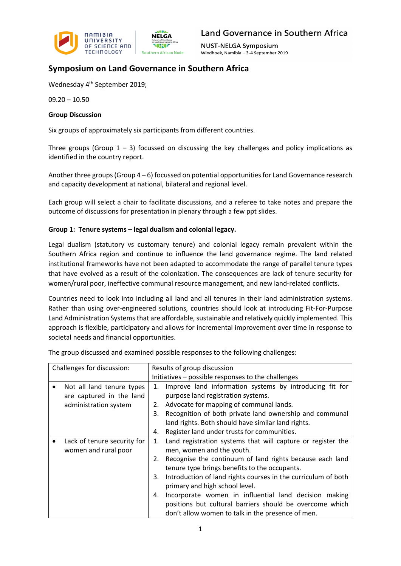

**NUST-NELGA Symposium** Windhoek, Namibia - 3-4 September 2019

## **Symposium on Land Governance in Southern Africa**

Wednesday 4<sup>th</sup> September 2019;

09.20 – 10.50

### **Group Discussion**

Six groups of approximately six participants from different countries.

Three groups (Group  $1 - 3$ ) focussed on discussing the key challenges and policy implications as identified in the country report.

Another three groups (Group 4 – 6) focussed on potential opportunities for Land Governance research and capacity development at national, bilateral and regional level.

Each group will select a chair to facilitate discussions, and a referee to take notes and prepare the outcome of discussions for presentation in plenary through a few ppt slides.

## **Group 1: Tenure systems – legal dualism and colonial legacy.**

Legal dualism (statutory vs customary tenure) and colonial legacy remain prevalent within the Southern Africa region and continue to influence the land governance regime. The land related institutional frameworks have not been adapted to accommodate the range of parallel tenure types that have evolved as a result of the colonization. The consequences are lack of tenure security for women/rural poor, ineffective communal resource management, and new land-related conflicts.

Countries need to look into including all land and all tenures in their land administration systems. Rather than using over-engineered solutions, countries should look at introducing Fit-For-Purpose Land Administration Systems that are affordable, sustainable and relatively quickly implemented. This approach is flexible, participatory and allows for incremental improvement over time in response to societal needs and financial opportunities.

| Challenges for discussion: |                                                       | Results of group discussion                        |                                                                                                                                                                                                                                                                        |  |
|----------------------------|-------------------------------------------------------|----------------------------------------------------|------------------------------------------------------------------------------------------------------------------------------------------------------------------------------------------------------------------------------------------------------------------------|--|
|                            |                                                       | Initiatives – possible responses to the challenges |                                                                                                                                                                                                                                                                        |  |
|                            | Not all land tenure types<br>are captured in the land | 1.                                                 | Improve land information systems by introducing fit for<br>purpose land registration systems.                                                                                                                                                                          |  |
|                            | administration system                                 | 2.                                                 | Advocate for mapping of communal lands.                                                                                                                                                                                                                                |  |
|                            |                                                       | 3.                                                 | Recognition of both private land ownership and communal<br>land rights. Both should have similar land rights.                                                                                                                                                          |  |
|                            |                                                       | 4.                                                 | Register land under trusts for communities.                                                                                                                                                                                                                            |  |
|                            | Lack of tenure security for<br>women and rural poor   | 1.<br>2.<br>3.                                     | Land registration systems that will capture or register the<br>men, women and the youth.<br>Recognise the continuum of land rights because each land<br>tenure type brings benefits to the occupants.<br>Introduction of land rights courses in the curriculum of both |  |
|                            |                                                       | 4.                                                 | primary and high school level.<br>Incorporate women in influential land decision making<br>positions but cultural barriers should be overcome which<br>don't allow women to talk in the presence of men.                                                               |  |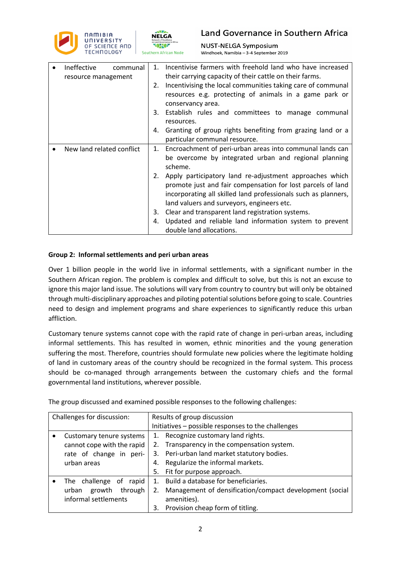



**NUST-NELGA Symposium** Windhoek, Namibia - 3-4 September 2019

| Ineffective<br>communal<br>resource management | Incentivise farmers with freehold land who have increased<br>1.<br>their carrying capacity of their cattle on their farms.<br>Incentivising the local communities taking care of communal<br>2.<br>resources e.g. protecting of animals in a game park or<br>conservancy area.<br>Establish rules and committees to manage communal<br>3.<br>resources.<br>Granting of group rights benefiting from grazing land or a<br>4.<br>particular communal resource.                                                                              |
|------------------------------------------------|-------------------------------------------------------------------------------------------------------------------------------------------------------------------------------------------------------------------------------------------------------------------------------------------------------------------------------------------------------------------------------------------------------------------------------------------------------------------------------------------------------------------------------------------|
| New land related conflict                      | Encroachment of peri-urban areas into communal lands can<br>1.<br>be overcome by integrated urban and regional planning<br>scheme.<br>Apply participatory land re-adjustment approaches which<br>2.<br>promote just and fair compensation for lost parcels of land<br>incorporating all skilled land professionals such as planners,<br>land valuers and surveyors, engineers etc.<br>Clear and transparent land registration systems.<br>3.<br>Updated and reliable land information system to prevent<br>4.<br>double land allocations. |

## **Group 2: Informal settlements and peri urban areas**

Over 1 billion people in the world live in informal settlements, with a significant number in the Southern African region. The problem is complex and difficult to solve, but this is not an excuse to ignore this major land issue. The solutions will vary from country to country but will only be obtained through multi-disciplinary approaches and piloting potential solutions before going to scale. Countries need to design and implement programs and share experiences to significantly reduce this urban affliction.

Customary tenure systems cannot cope with the rapid rate of change in peri-urban areas, including informal settlements. This has resulted in women, ethnic minorities and the young generation suffering the most. Therefore, countries should formulate new policies where the legitimate holding of land in customary areas of the country should be recognized in the formal system. This process should be co-managed through arrangements between the customary chiefs and the formal governmental land institutions, wherever possible.

| Challenges for discussion: |                            | Results of group discussion                        |                                                         |  |
|----------------------------|----------------------------|----------------------------------------------------|---------------------------------------------------------|--|
|                            |                            | Initiatives - possible responses to the challenges |                                                         |  |
|                            | Customary tenure systems   | 1.                                                 | Recognize customary land rights.                        |  |
|                            | cannot cope with the rapid | 2.                                                 | Transparency in the compensation system.                |  |
|                            | rate of change in peri-    | 3.                                                 | Peri-urban land market statutory bodies.                |  |
|                            | urban areas                | 4.                                                 | Regularize the informal markets.                        |  |
|                            |                            | 5.                                                 | Fit for purpose approach.                               |  |
|                            | The challenge of<br>rapid  | $1_{-}$                                            | Build a database for beneficiaries.                     |  |
|                            | through<br>growth<br>urban | 2.                                                 | Management of densification/compact development (social |  |
|                            | informal settlements       |                                                    | amenities).                                             |  |
|                            |                            | 3.                                                 | Provision cheap form of titling.                        |  |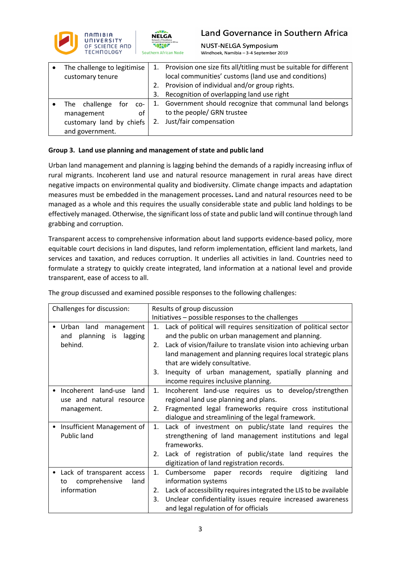

**NUST-NELGA Symposium** Windhoek, Namibia - 3-4 September 2019

| The challenge to legitimise |    | 1. Provision one size fits all/titling must be suitable for different |  |
|-----------------------------|----|-----------------------------------------------------------------------|--|
| customary tenure            |    | local communities' customs (land use and conditions)                  |  |
|                             | 2. | Provision of individual and/or group rights.                          |  |
|                             | 3. | Recognition of overlapping land use right                             |  |
| The challenge<br>for<br>CO- | 1. | Government should recognize that communal land belongs                |  |
| management<br>of            |    | to the people/ GRN trustee                                            |  |
| customary land by chiefs    |    | Just/fair compensation                                                |  |
| and government.             |    |                                                                       |  |

## **Group 3. Land use planning and management of state and public land**

Urban land management and planning is lagging behind the demands of a rapidly increasing influx of rural migrants. Incoherent land use and natural resource management in rural areas have direct negative impacts on environmental quality and biodiversity. Climate change impacts and adaptation measures must be embedded in the management processes**.** Land and natural resources need to be managed as a whole and this requires the usually considerable state and public land holdings to be effectively managed. Otherwise, the significant loss of state and public land will continue through land grabbing and corruption.

Transparent access to comprehensive information about land supports evidence-based policy, more equitable court decisions in land disputes, land reform implementation, efficient land markets, land services and taxation, and reduces corruption. It underlies all activities in land. Countries need to formulate a strategy to quickly create integrated, land information at a national level and provide transparent, ease of access to all.

| Challenges for discussion:            | Results of group discussion                                             |  |  |
|---------------------------------------|-------------------------------------------------------------------------|--|--|
|                                       | Initiatives - possible responses to the challenges                      |  |  |
| Urban land<br>management<br>$\bullet$ | Lack of political will requires sensitization of political sector<br>1. |  |  |
| planning is<br>lagging<br>and         | and the public on urban management and planning.                        |  |  |
| behind.                               | Lack of vision/failure to translate vision into achieving urban<br>2.   |  |  |
|                                       | land management and planning requires local strategic plans             |  |  |
|                                       | that are widely consultative.                                           |  |  |
|                                       | Inequity of urban management, spatially planning and<br>3.              |  |  |
|                                       | income requires inclusive planning.                                     |  |  |
| Incoherent land-use land              | 1.<br>Incoherent land-use requires us to develop/strengthen             |  |  |
| use and natural resource              | regional land use planning and plans.                                   |  |  |
| management.                           | Fragmented legal frameworks require cross institutional<br>2.           |  |  |
|                                       | dialogue and streamlining of the legal framework.                       |  |  |
| Insufficient Management of            | Lack of investment on public/state land requires the<br>1.              |  |  |
| Public land                           | strengthening of land management institutions and legal                 |  |  |
|                                       | frameworks.                                                             |  |  |
|                                       | 2. Lack of registration of public/state land requires the               |  |  |
|                                       | digitization of land registration records.                              |  |  |
| Lack of transparent access            | Cumbersome<br>digitizing<br>1.<br>paper records<br>require<br>land      |  |  |
| comprehensive<br>land<br>to           | information systems                                                     |  |  |
| information                           | Lack of accessibility requires integrated the LIS to be available<br>2. |  |  |
|                                       | Unclear confidentiality issues require increased awareness<br>3.        |  |  |
|                                       | and legal regulation of for officials                                   |  |  |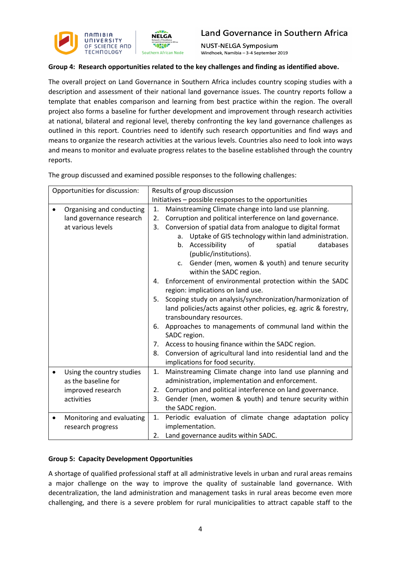

**NUST-NELGA Symposium** Windhoek, Namibia - 3-4 September 2019

## **Group 4: Research opportunities related to the key challenges and finding as identified above.**

The overall project on Land Governance in Southern Africa includes country scoping studies with a description and assessment of their national land governance issues. The country reports follow a template that enables comparison and learning from best practice within the region. The overall project also forms a baseline for further development and improvement through research activities at national, bilateral and regional level, thereby confronting the key land governance challenges as outlined in this report. Countries need to identify such research opportunities and find ways and means to organize the research activities at the various levels. Countries also need to look into ways and means to monitor and evaluate progress relates to the baseline established through the country reports.

Opportunities for discussion: Results of group discussion Initiatives – possible responses to the opportunities • Organising and conducting land governance research at various levels 1. Mainstreaming Climate change into land use planning. 2. Corruption and political interference on land governance. 3. Conversion of spatial data from analogue to digital format a. Uptake of GIS technology within land administration. b. Accessibility of spatial databases (public/institutions). c. Gender (men, women & youth) and tenure security within the SADC region. 4. Enforcement of environmental protection within the SADC region: implications on land use. 5. Scoping study on analysis/synchronization/harmonization of land policies/acts against other policies, eg. agric & forestry, transboundary resources. 6. Approaches to managements of communal land within the SADC region. 7. Access to housing finance within the SADC region. 8. Conversion of agricultural land into residential land and the implications for food security. • Using the country studies as the baseline for improved research activities 1. Mainstreaming Climate change into land use planning and administration, implementation and enforcement. 2. Corruption and political interference on land governance. 3. Gender (men, women & youth) and tenure security within the SADC region. • Monitoring and evaluating research progress 1. Periodic evaluation of climate change adaptation policy implementation. 2. Land governance audits within SADC.

The group discussed and examined possible responses to the following challenges:

### **Group 5: Capacity Development Opportunities**

A shortage of qualified professional staff at all administrative levels in urban and rural areas remains a major challenge on the way to improve the quality of sustainable land governance. With decentralization, the land administration and management tasks in rural areas become even more challenging, and there is a severe problem for rural municipalities to attract capable staff to the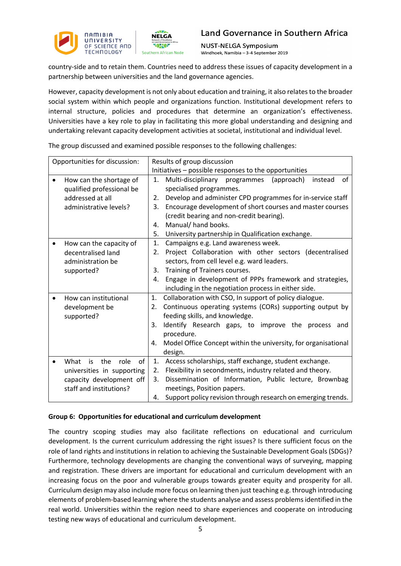

**NUST-NELGA Symposium** Windhoek, Namibia - 3-4 September 2019

country-side and to retain them. Countries need to address these issues of capacity development in a partnership between universities and the land governance agencies.

However, capacity development is not only about education and training, it also relates to the broader social system within which people and organizations function. Institutional development refers to internal structure, policies and procedures that determine an organization's effectiveness. Universities have a key role to play in facilitating this more global understanding and designing and undertaking relevant capacity development activities at societal, institutional and individual level.

| Opportunities for discussion:   | Results of group discussion                                          |
|---------------------------------|----------------------------------------------------------------------|
|                                 | Initiatives - possible responses to the opportunities                |
| How can the shortage of         | Multi-disciplinary programmes<br>of<br>(approach)<br>instead<br>1.   |
| qualified professional be       | specialised programmes.                                              |
| addressed at all                | Develop and administer CPD programmes for in-service staff<br>2.     |
| administrative levels?          | Encourage development of short courses and master courses<br>3.      |
|                                 | (credit bearing and non-credit bearing).                             |
|                                 | Manual/ hand books.<br>4.                                            |
|                                 | 5.<br>University partnership in Qualification exchange.              |
| How can the capacity of         | Campaigns e.g. Land awareness week.<br>1.                            |
| decentralised land              | Project Collaboration with other sectors (decentralised<br>2.        |
| administration be               | sectors, from cell level e.g. ward leaders.                          |
| supported?                      | Training of Trainers courses.<br>3.                                  |
|                                 | Engage in development of PPPs framework and strategies,<br>4.        |
|                                 | including in the negotiation process in either side.                 |
| How can institutional           | Collaboration with CSO, In support of policy dialogue.<br>1.         |
| development be                  | Continuous operating systems (CORs) supporting output by<br>2.       |
| supported?                      | feeding skills, and knowledge.                                       |
|                                 | Identify Research gaps, to improve the<br>3.<br>process and          |
|                                 | procedure.                                                           |
|                                 | Model Office Concept within the university, for organisational<br>4. |
|                                 | design.                                                              |
| What<br>the<br>role<br>of<br>is | Access scholarships, staff exchange, student exchange.<br>1.         |
| universities in supporting      | Flexibility in secondments, industry related and theory.<br>2.       |
| capacity development off        | Dissemination of Information, Public lecture, Brownbag<br>3.         |
| staff and institutions?         | meetings, Position papers.                                           |
|                                 | 4. Support policy revision through research on emerging trends.      |

The group discussed and examined possible responses to the following challenges:

### **Group 6: Opportunities for educational and curriculum development**

The country scoping studies may also facilitate reflections on educational and curriculum development. Is the current curriculum addressing the right issues? Is there sufficient focus on the role of land rights and institutions in relation to achieving the Sustainable Development Goals (SDGs)? Furthermore, technology developments are changing the conventional ways of surveying, mapping and registration. These drivers are important for educational and curriculum development with an increasing focus on the poor and vulnerable groups towards greater equity and prosperity for all. Curriculum design may also include more focus on learning then just teaching e.g. through introducing elements of problem-based learning where the students analyse and assess problems identified in the real world. Universities within the region need to share experiences and cooperate on introducing testing new ways of educational and curriculum development.